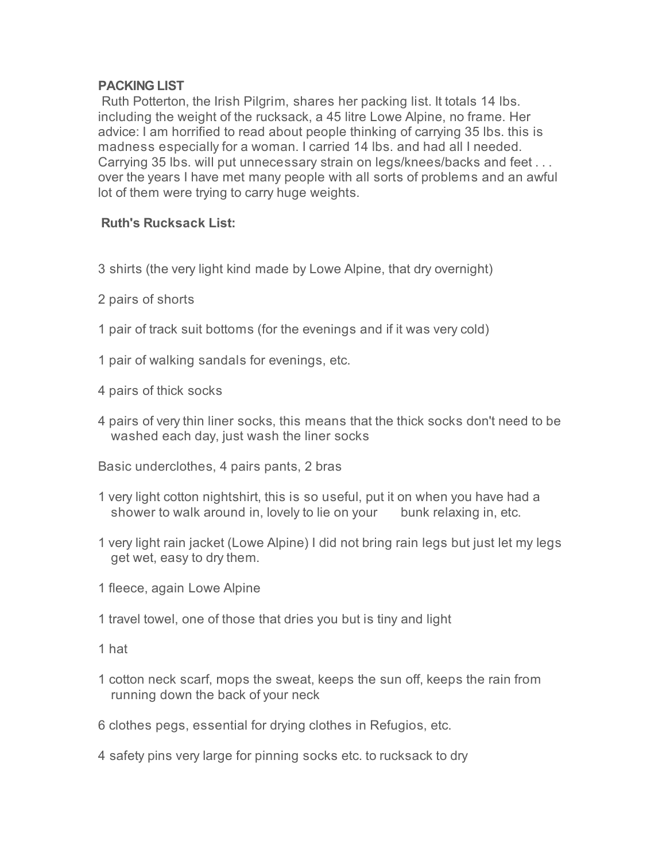## **PACKING LIST**

Ruth Potterton, the Irish Pilgrim, shares her packing list. It totals 14 lbs. including the weight of the rucksack, a 45 litre Lowe Alpine, no frame. Her advice: I am horrified to read about people thinking of carrying 35 lbs. this is madness especially for a woman. I carried 14 lbs. and had all I needed. Carrying 35 lbs. will put unnecessary strain on legs/knees/backs and feet . . . over the years I have met many people with all sorts of problems and an awful lot of them were trying to carry huge weights.

## **Ruth's Rucksack List:**

- 3 shirts (the very light kind made by Lowe Alpine, that dry overnight)
- 2 pairs of shorts
- 1 pair of track suit bottoms (for the evenings and if it was very cold)
- 1 pair of walking sandals for evenings, etc.
- 4 pairs of thick socks
- 4 pairs of very thin liner socks, this means that the thick socks don't need to be washed each day, just wash the liner socks
- Basic underclothes, 4 pairs pants, 2 bras
- 1 very light cotton nightshirt, this is so useful, put it on when you have had a shower to walk around in, lovely to lie on your bunk relaxing in, etc.
- 1 very light rain jacket (Lowe Alpine) I did not bring rain legs but just let my legs get wet, easy to dry them.
- 1 fleece, again Lowe Alpine
- 1 travel towel, one of those that dries you but is tiny and light
- 1 hat
- 1 cotton neck scarf, mops the sweat, keeps the sun off, keeps the rain from running down the back of your neck
- 6 clothes pegs, essential for drying clothes in Refugios, etc.
- 4 safety pins very large for pinning socks etc. to rucksack to dry